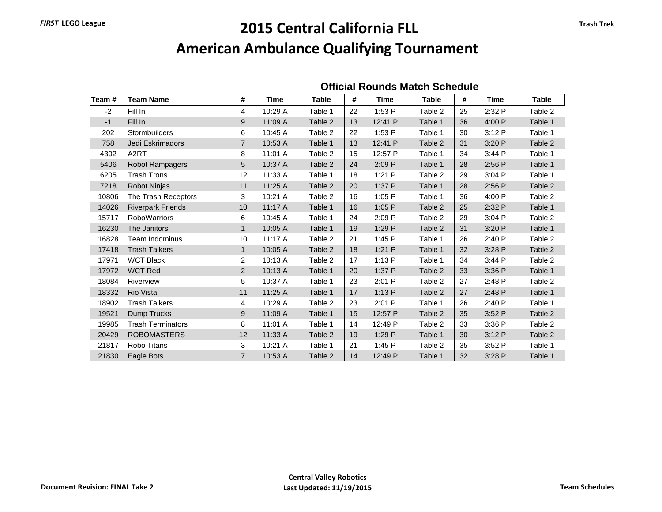## *FIRST* **LEGO League 2015 Central California FLL American Ambulance Qualifying Tournament**

|       |                          | <b>Official Rounds Match Schedule</b> |             |              |    |         |              |    |             |              |
|-------|--------------------------|---------------------------------------|-------------|--------------|----|---------|--------------|----|-------------|--------------|
| Team# | <b>Team Name</b>         | #                                     | <b>Time</b> | <b>Table</b> | #  | Time    | <b>Table</b> | #  | <b>Time</b> | <b>Table</b> |
| $-2$  | Fill In                  | 4                                     | 10:29 A     | Table 1      | 22 | 1:53P   | Table 2      | 25 | 2:32P       | Table 2      |
| $-1$  | Fill In                  | 9                                     | 11:09 A     | Table 2      | 13 | 12:41 P | Table 1      | 36 | 4:00 P      | Table 1      |
| 202   | Stormbuilders            | 6                                     | 10:45 A     | Table 2      | 22 | 1:53 P  | Table 1      | 30 | 3:12P       | Table 1      |
| 758   | Jedi Eskrimadors         | 7                                     | 10:53 A     | Table 1      | 13 | 12:41 P | Table 2      | 31 | 3:20 P      | Table 2      |
| 4302  | A <sub>2</sub> RT        | 8                                     | 11:01 A     | Table 2      | 15 | 12:57 P | Table 1      | 34 | 3:44P       | Table 1      |
| 5406  | <b>Robot Rampagers</b>   | 5                                     | 10:37 A     | Table 2      | 24 | 2:09 P  | Table 1      | 28 | 2:56 P      | Table 1      |
| 6205  | <b>Trash Trons</b>       | 12                                    | 11:33 A     | Table 1      | 18 | 1:21P   | Table 2      | 29 | 3:04P       | Table 1      |
| 7218  | <b>Robot Ninjas</b>      | 11                                    | 11:25 A     | Table 2      | 20 | 1:37 P  | Table 1      | 28 | 2:56 P      | Table 2      |
| 10806 | The Trash Receptors      | 3                                     | 10:21 A     | Table 2      | 16 | 1:05 P  | Table 1      | 36 | 4:00P       | Table 2      |
| 14026 | <b>Riverpark Friends</b> | 10                                    | 11:17 A     | Table 1      | 16 | 1:05P   | Table 2      | 25 | 2:32 P      | Table 1      |
| 15717 | <b>RoboWarriors</b>      | 6                                     | 10:45 A     | Table 1      | 24 | 2:09P   | Table 2      | 29 | 3:04P       | Table 2      |
| 16230 | The Janitors             | $\mathbf{1}$                          | 10:05 A     | Table 1      | 19 | 1:29 P  | Table 2      | 31 | 3:20 P      | Table 1      |
| 16828 | <b>Team Indominus</b>    | 10                                    | 11:17A      | Table 2      | 21 | 1:45P   | Table 1      | 26 | 2:40P       | Table 2      |
| 17418 | <b>Trash Talkers</b>     | $\mathbf 1$                           | 10:05 A     | Table 2      | 18 | 1:21P   | Table 1      | 32 | 3:28 P      | Table 2      |
| 17971 | <b>WCT Black</b>         | $\overline{2}$                        | 10:13 A     | Table 2      | 17 | 1:13P   | Table 1      | 34 | 3:44P       | Table 2      |
| 17972 | <b>WCT Red</b>           | 2                                     | 10:13 A     | Table 1      | 20 | 1:37 P  | Table 2      | 33 | 3:36P       | Table 1      |
| 18084 | Riverview                | 5                                     | 10:37 A     | Table 1      | 23 | 2:01 P  | Table 2      | 27 | 2:48P       | Table 2      |
| 18332 | <b>Rio Vista</b>         | 11                                    | 11:25 A     | Table 1      | 17 | 1:13P   | Table 2      | 27 | 2:48 P      | Table 1      |
| 18902 | <b>Trash Talkers</b>     | 4                                     | 10:29 A     | Table 2      | 23 | 2:01 P  | Table 1      | 26 | 2:40P       | Table 1      |
| 19521 | <b>Dump Trucks</b>       | 9                                     | 11:09 A     | Table 1      | 15 | 12:57 P | Table 2      | 35 | 3:52P       | Table 2      |
| 19985 | <b>Trash Terminators</b> | 8                                     | 11:01 A     | Table 1      | 14 | 12:49 P | Table 2      | 33 | 3:36P       | Table 2      |
| 20429 | <b>ROBOMASTERS</b>       | 12                                    | 11:33 A     | Table 2      | 19 | 1:29 P  | Table 1      | 30 | 3:12P       | Table 2      |
| 21817 | Robo Titans              | 3                                     | 10:21 A     | Table 1      | 21 | 1:45P   | Table 2      | 35 | 3.52P       | Table 1      |
| 21830 | Eagle Bots               | $\overline{7}$                        | 10:53 A     | Table 2      | 14 | 12:49 P | Table 1      | 32 | 3:28 P      | Table 1      |